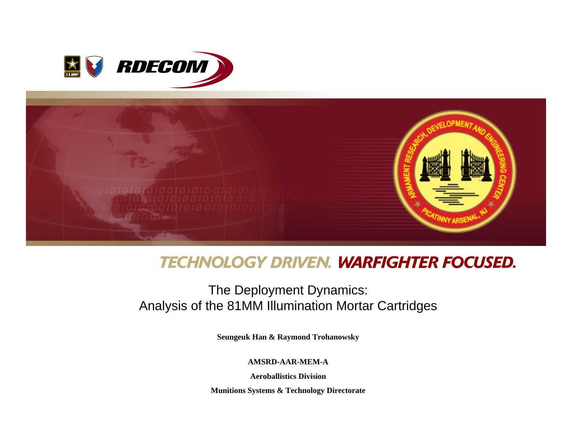



# **TECHNOLOGY DRIVEN. WARFIGHTER FOCUSED.**

# The Deployment Dynamics: Analysis of the 81MM Illumination Mortar Cartridges

**Seungeuk Han & Raymond Trohanowsky**

**AMSRD-AAR-MEM-A**

**Aeroballistics Division**

**Munitions Systems & Technology Directorate**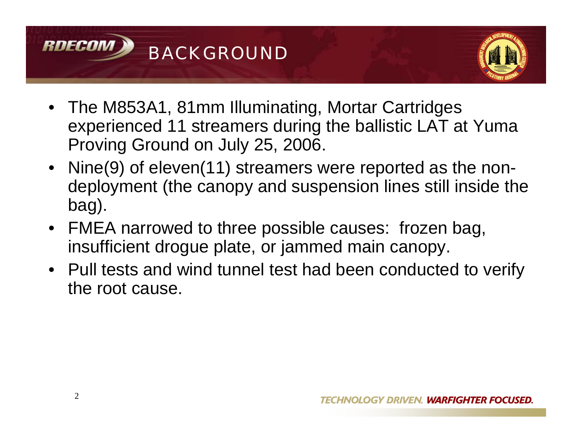



- The M853A1, 81mm Illuminating, Mortar Cartridges experienced 11 streamers during the ballistic LAT at Yuma Proving Ground on July 25, 2006.
- Nine(9) of eleven(11) streamers were reported as the nondeployment (the canopy and suspension lines still inside the bag).
- FMEA narrowed to three possible causes: frozen bag, insufficient drogue plate, or jammed main canopy.
- Pull tests and wind tunnel test had been conducted to verify the root cause.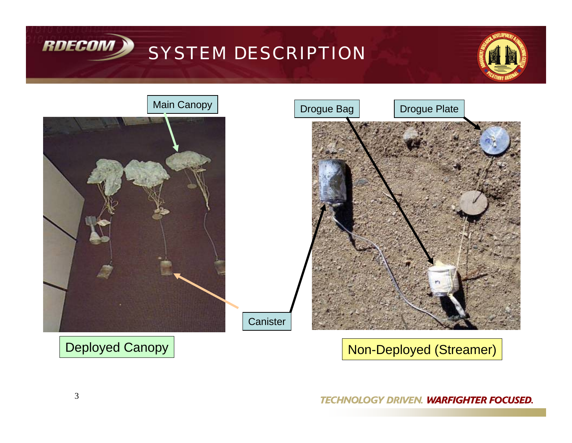







# Deployed Canopy | Non-Deployed (Streamer)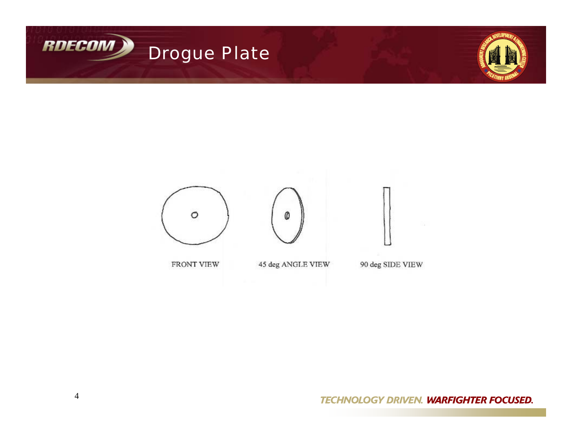



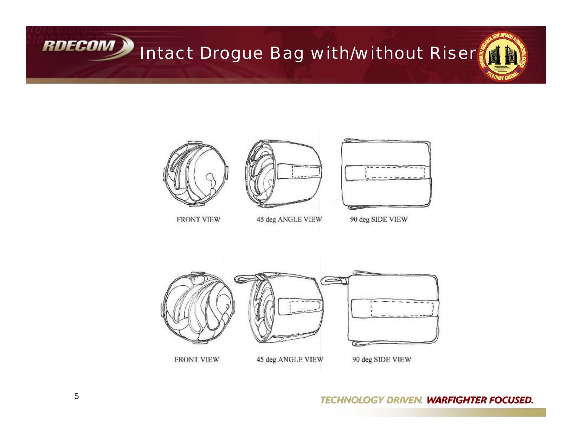



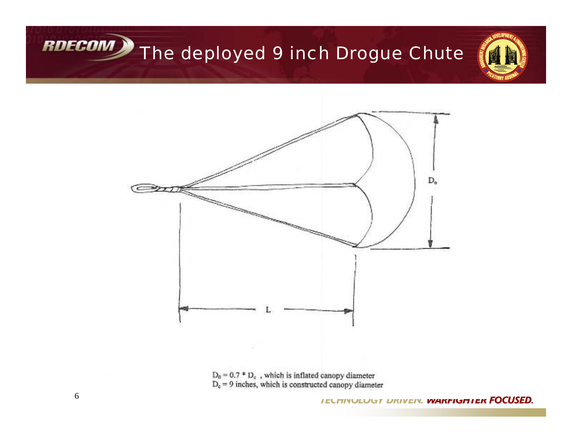# RDECOM The deployed 9 inch Drogue Chute



 $D_0 = 0.7 * D_e$ , which is inflated canopy diameter  $D_c = 9$  inches, which is constructed canopy diameter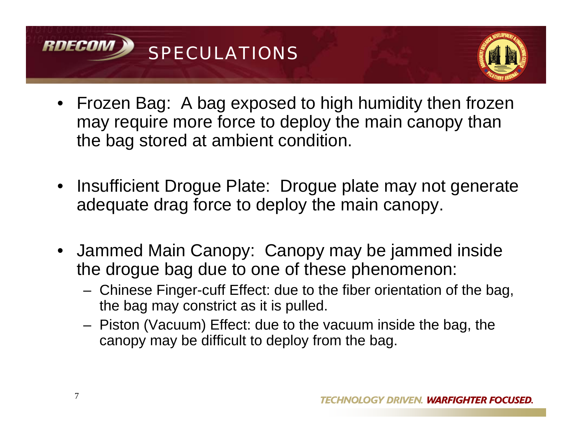



- Frozen Bag: A bag exposed to high humidity then frozen may require more force to deploy the main canopy than the bag stored at ambient condition.
- Insufficient Drogue Plate: Drogue plate may not generate adequate drag force to deploy the main canopy.
- Jammed Main Canopy: Canopy may be jammed inside the drogue bag due to one of these phenomenon:
	- Chinese Finger-cuff Effect: due to the fiber orientation of the bag, the bag may constrict as it is pulled.
	- – Piston (Vacuum) Effect: due to the vacuum inside the bag, the canopy may be difficult to deploy from the bag.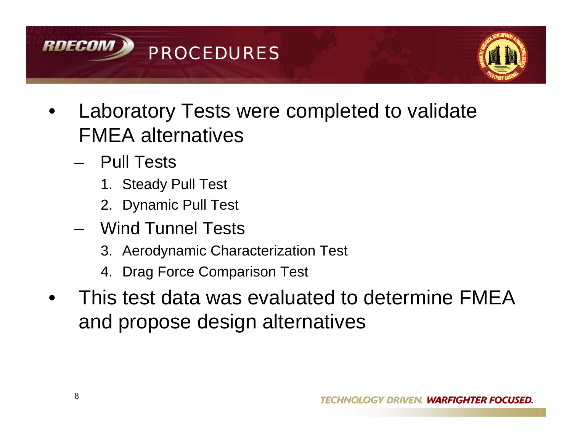



- • Laboratory Tests were completed to validate FMEA alternatives
	- Pull Tests
		- 1. Steady Pull Test
		- 2. Dynamic Pull Test
	- Wind Tunnel Tests
		- 3. Aerodynamic Characterization Test
		- 4. Drag Force Comparison Test
- • This test data was evaluated to determine FMEA and propose design alternatives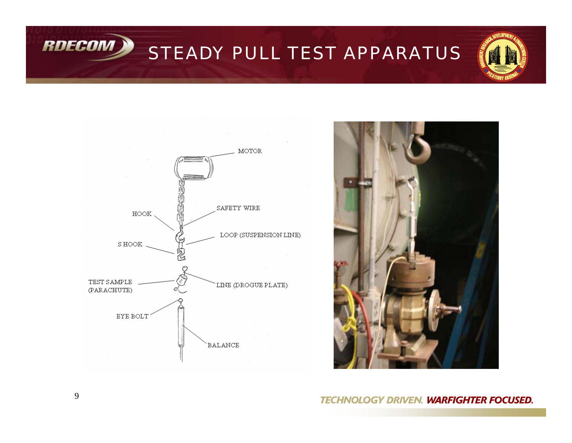STEADY PULL TEST APPARATUS







#### **TECHNOLOGY DRIVEN. WARFIGHTER FOCUSED.**

**RDECOM X**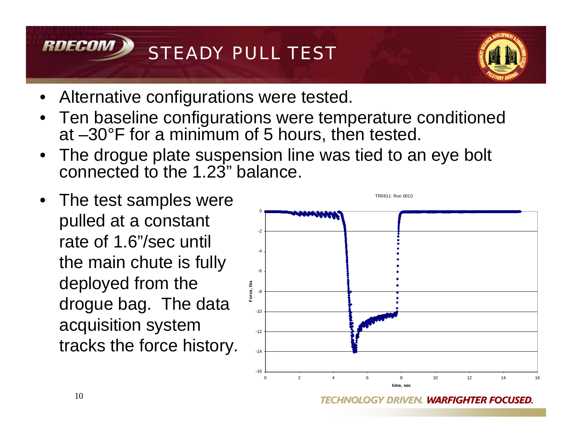



- Alternative configurations were tested.
- • Ten baseline configurations were temperature conditioned at –30°F for a minimum of 5 hours, then tested.
- The drogue plate suspension line was tied to an eye bolt connected to the 1.23" balance.
- The test samples were pulled at a constant rate of 1.6"/sec until the main chute is fully deployed from the drogue bag. The data acquisition system tracks the force history.



**DRIVEN. WARFIGHTER FOCUSED.**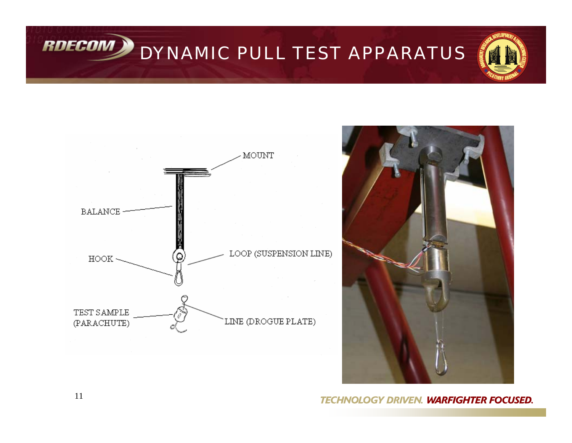RDECOM DYNAMIC PULL TEST APPARATUS





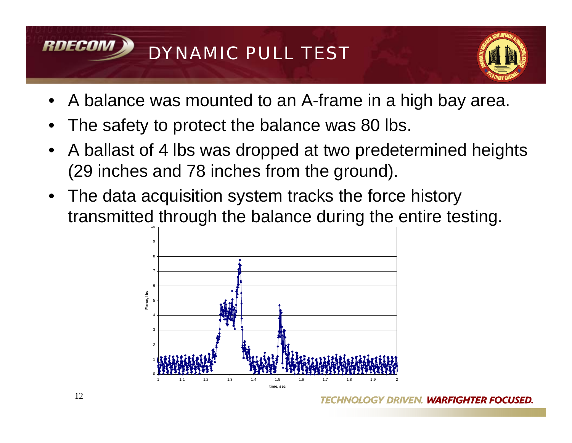



- •A balance was mounted to an A-frame in a high bay area.
- •The safety to protect the balance was 80 lbs.
- • A ballast of 4 lbs was dropped at two predetermined heights (29 inches and 78 inches from the ground).
- 10• The data acquisition system tracks the force history transmitted through the balance during the entire testing.

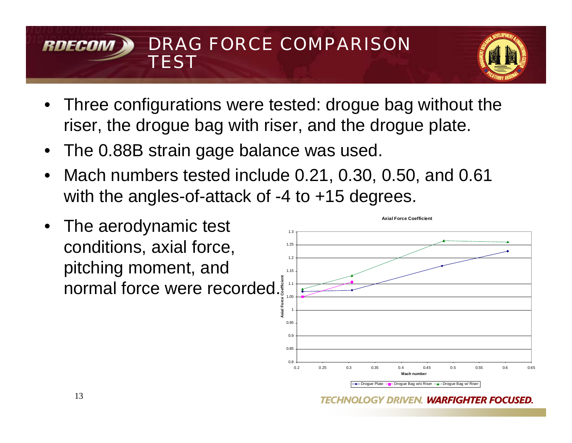## DRAG FORCE COMPARISON RNFCO **TEST**



- Three configurations were tested: drogue bag without the riser, the drogue bag with riser, and the drogue plate.
- The 0.88B strain gage balance was used.
- Mach numbers tested include 0.21, 0.30, 0.50, and 0.61 with the angles-of-attack of -4 to +15 degrees.
- The aerodynamic test conditions, axial force, pitching moment, and normal force were recorded.

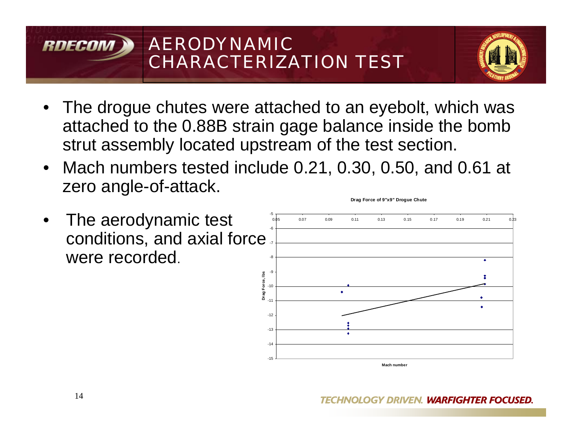# AERODYNAMIC RNFCA CHARACTERIZATION TEST



- The drogue chutes were attached to an eyebolt, which was attached to the 0.88B strain gage balance inside the bomb strut assembly located upstream of the test section.
- Mach numbers tested include 0.21, 0.30, 0.50, and 0.61 at zero angle-of-attack.
- • The aerodynamic test conditions, and axial force were recorded.



**Drag Force of 9"x9" Drogue Chute**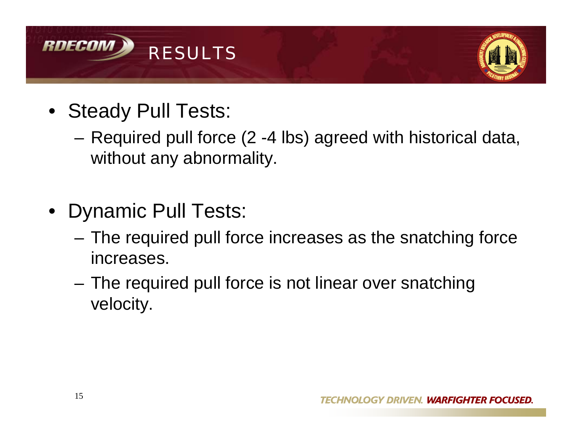



- Steady Pull Tests:
	- **Links of the Common**  Required pull force (2 -4 lbs) agreed with historical data, without any abnormality.
- Dynamic Pull Tests:
	- and the state of the The required pull force increases as the snatching force increases.
	- **Links of the Common**  The required pull force is not linear over snatching velocity.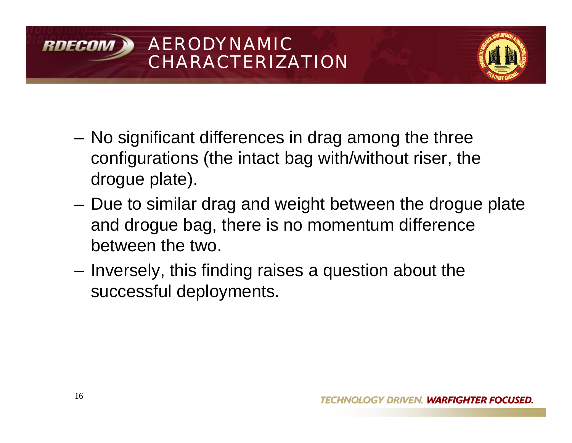## AERODYNAMIC RDECON CHARACTERIZATION



- **Links of the Common**  No significant differences in drag among the three configurations (the intact bag with/without riser, the drogue plate).
- and the state of the Due to similar drag and weight between the drogue plate and drogue bag, there is no momentum difference between the two.
- – Inversely, this finding raises a question about the successful deployments.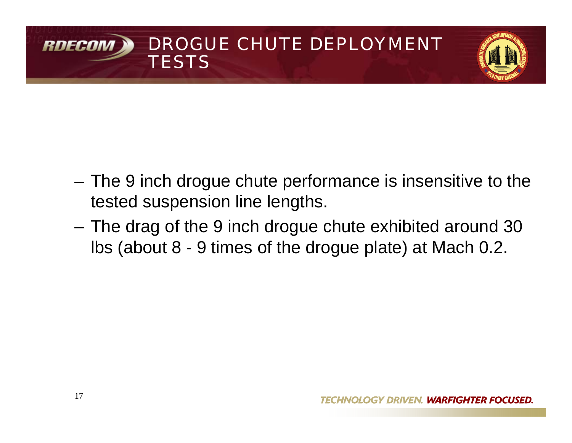# DROGUE CHUTE DEPLOYMENT RNFCA **TESTS**



- **Links of the Common**  The 9 inch drogue chute performance is insensitive to the tested suspension line lengths.
- – The drag of the 9 inch drogue chute exhibited around 30 lbs (about 8 - 9 times of the drogue plate) at Mach 0.2.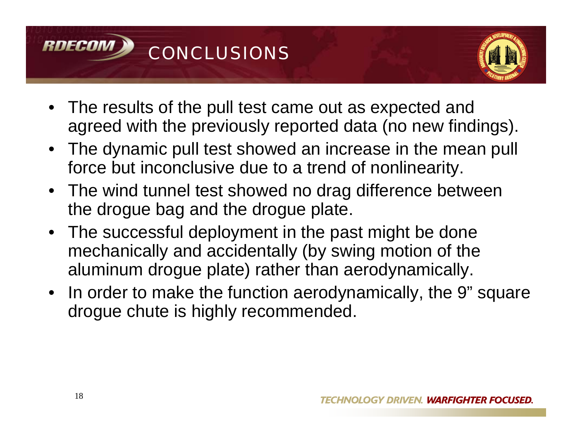



- The results of the pull test came out as expected and agreed with the previously reported data (no new findings).
- The dynamic pull test showed an increase in the mean pull force but inconclusive due to a trend of nonlinearity.
- The wind tunnel test showed no drag difference between the drogue bag and the drogue plate.
- The successful deployment in the past might be done mechanically and accidentally (by swing motion of the aluminum drogue plate) rather than aerodynamically.
- In order to make the function aerodynamically, the 9" square drogue chute is highly recommended.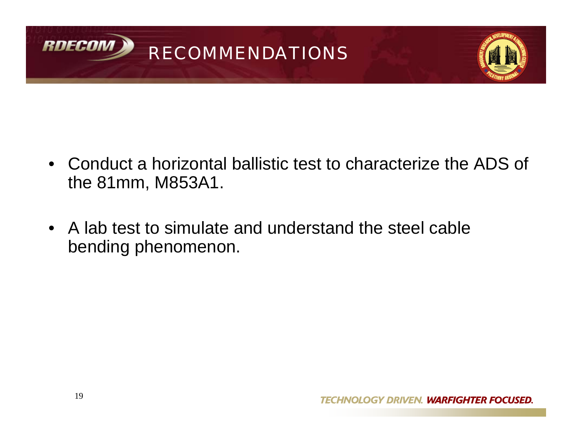



- Conduct a horizontal ballistic test to characterize the ADS of the 81mm, M853A1.
- A lab test to simulate and understand the steel cable bending phenomenon.